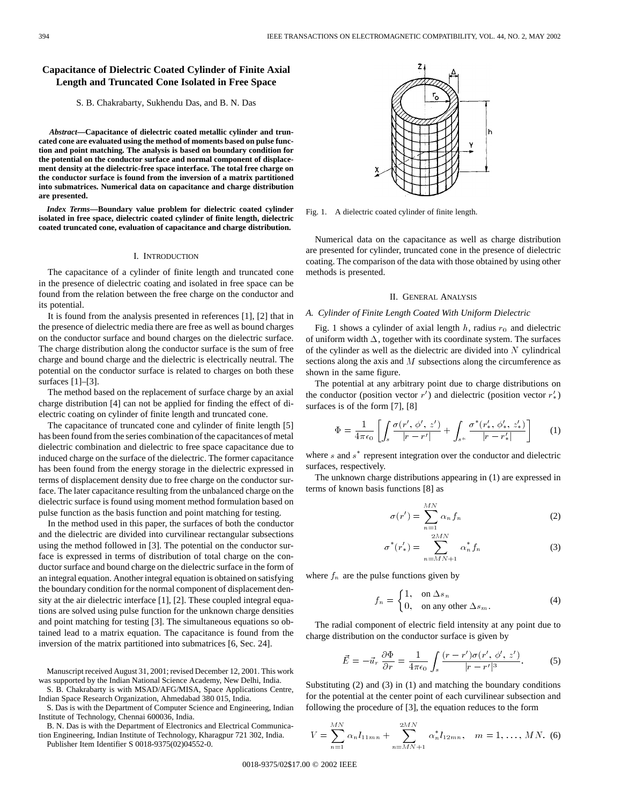# **Capacitance of Dielectric Coated Cylinder of Finite Axial Length and Truncated Cone Isolated in Free Space**

#### S. B. Chakrabarty, Sukhendu Das, and B. N. Das

*Abstract—***Capacitance of dielectric coated metallic cylinder and truncated cone are evaluated using the method of moments based on pulse function and point matching. The analysis is based on boundary condition for the potential on the conductor surface and normal component of displacement density at the dielectric-free space interface. The total free charge on the conductor surface is found from the inversion of a matrix partitioned into submatrices. Numerical data on capacitance and charge distribution are presented.**

*Index Terms—***Boundary value problem for dielectric coated cylinder isolated in free space, dielectric coated cylinder of finite length, dielectric coated truncated cone, evaluation of capacitance and charge distribution.**

#### I. INTRODUCTION

The capacitance of a cylinder of finite length and truncated cone in the presence of dielectric coating and isolated in free space can be found from the relation between the free charge on the conductor and its potential.

It is found from the analysis presented in references [1], [2] that in the presence of dielectric media there are free as well as bound charges on the conductor surface and bound charges on the dielectric surface. The charge distribution along the conductor surface is the sum of free charge and bound charge and the dielectric is electrically neutral. The potential on the conductor surface is related to charges on both these surfaces [1]–[3].

The method based on the replacement of surface charge by an axial charge distribution [4] can not be applied for finding the effect of dielectric coating on cylinder of finite length and truncated cone.

The capacitance of truncated cone and cylinder of finite length [5] has been found from the series combination of the capacitances of metal dielectric combination and dielectric to free space capacitance due to induced charge on the surface of the dielectric. The former capacitance has been found from the energy storage in the dielectric expressed in terms of displacement density due to free charge on the conductor surface. The later capacitance resulting from the unbalanced charge on the dielectric surface is found using moment method formulation based on pulse function as the basis function and point matching for testing.

In the method used in this paper, the surfaces of both the conductor and the dielectric are divided into curvilinear rectangular subsections using the method followed in [3]. The potential on the conductor surface is expressed in terms of distribution of total charge on the conductor surface and bound charge on the dielectric surface in the form of an integral equation. Another integral equation is obtained on satisfying the boundary condition for the normal component of displacement density at the air dielectric interface [1], [2]. These coupled integral equations are solved using pulse function for the unknown charge densities and point matching for testing [3]. The simultaneous equations so obtained lead to a matrix equation. The capacitance is found from the inversion of the matrix partitioned into submatrices [6, Sec. 24].

S. B. Chakrabarty is with MSAD/AFG/MISA, Space Applications Centre, Indian Space Research Organization, Ahmedabad 380 015, India.

S. Das is with the Department of Computer Science and Engineering, Indian Institute of Technology, Chennai 600036, India.

B. N. Das is with the Department of Electronics and Electrical Communication Engineering, Indian Institute of Technology, Kharagpur 721 302, India.

Publisher Item Identifier S 0018-9375(02)04552-0.



Fig. 1. A dielectric coated cylinder of finite length.

Numerical data on the capacitance as well as charge distribution are presented for cylinder, truncated cone in the presence of dielectric coating. The comparison of the data with those obtained by using other methods is presented.

### II. GENERAL ANALYSIS

# *A. Cylinder of Finite Length Coated With Uniform Dielectric*

Fig. 1 shows a cylinder of axial length  $h$ , radius  $r_0$  and dielectric of uniform width  $\Delta$ , together with its coordinate system. The surfaces of the cylinder as well as the dielectric are divided into  $N$  cylindrical sections along the axis and  $M$  subsections along the circumference as shown in the same figure.

The potential at any arbitrary point due to charge distributions on the conductor (position vector  $r'$ ) and dielectric (position vector  $r'_{*}$ ) surfaces is of the form [7], [8]

$$
\Phi = \frac{1}{4\pi\epsilon_0} \left[ \int_s \frac{\sigma(r', \phi', z')}{|r - r'|} + \int_{s^*} \frac{\sigma^*(r', \phi', z')}{|r - r'|} \right] \tag{1}
$$

where s and  $s^*$  represent integration over the conductor and dielectric surfaces, respectively.

The unknown charge distributions appearing in (1) are expressed in terms of known basis functions [8] as

$$
\sigma(r') = \sum_{n=1}^{MN} \alpha_n f_n \tag{2}
$$

$$
\sigma^*(r'_*) = \sum_{n=MN+1}^{2MN} \alpha_n^* f_n \tag{3}
$$

where  $f_n$  are the pulse functions given by

$$
f_n = \begin{cases} 1, & \text{on } \Delta s_n \\ 0, & \text{on any other } \Delta s_m. \end{cases}
$$
 (4)

The radial component of electric field intensity at any point due to charge distribution on the conductor surface is given by

$$
\vec{E} = -\vec{u}_r \frac{\partial \Phi}{\partial r} = \frac{1}{4\pi\epsilon_0} \int_s \frac{(r - r')\sigma(r', \phi', z')}{|r - r'|^3}.
$$
 (5)

Substituting (2) and (3) in (1) and matching the boundary conditions for the potential at the center point of each curvilinear subsection and following the procedure of [3], the equation reduces to the form

$$
V = \sum_{n=1}^{MN} \alpha_n l_{11mn} + \sum_{n=MN+1}^{2MN} \alpha_n^* l_{12mn}, \quad m = 1, ..., MN.
$$
 (6)

Manuscript received August 31, 2001; revised December 12, 2001. This work was supported by the Indian National Science Academy, New Delhi, India.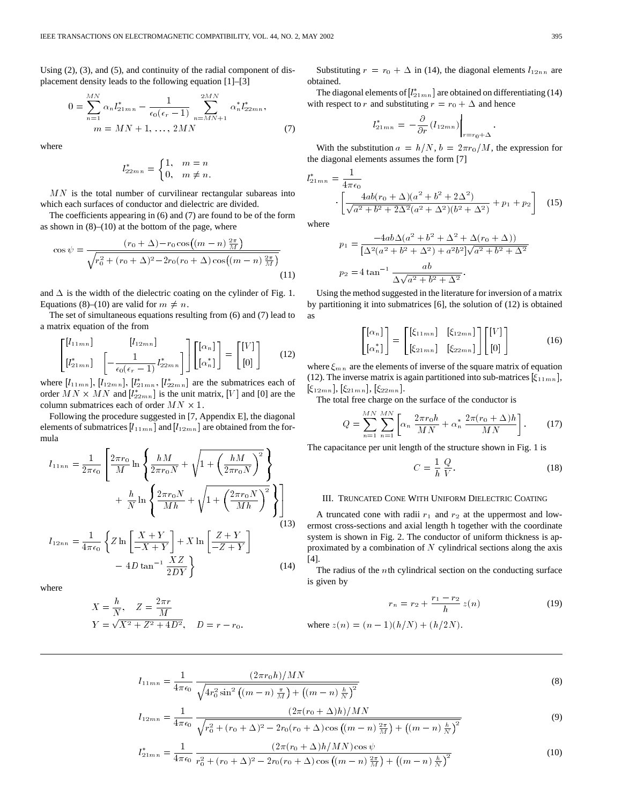Using (2), (3), and (5), and continuity of the radial component of displacement density leads to the following equation [1]–[3]

(2), (3), and (5), and continuity of the radial component of dis-  
ent density leads to the following equation [1]–[3]  

$$
0 = \sum_{n=1}^{MN} \alpha_n l_{21mn}^* - \frac{1}{\epsilon_0(\epsilon_r - 1)} \sum_{n=MN+1}^{2MN} \alpha_n^* l_{22mn}^*
$$

$$
m = MN + 1, ..., 2MN
$$
(7)

where

$$
l_{22mn}^* = \begin{cases} 1, & m = n \\ 0, & m \neq n. \end{cases}
$$

 $MN$  is the total number of curvilinear rectangular subareas into which each surfaces of conductor and dielectric are divided.

The coefficients appearing in (6) and (7) are found to be of the form as shown in  $(8)$ – $(10)$  at the bottom of the page, where

$$
\cos \psi = \frac{(r_0 + \Delta) - r_0 \cos\left((m - n)\frac{2\pi}{M}\right)}{\sqrt{r_0^2 + (r_0 + \Delta)^2 - 2r_0(r_0 + \Delta)\cos\left((m - n)\frac{2\pi}{M}\right)}}
$$
(11)

and  $\Delta$  is the width of the dielectric coating on the cylinder of Fig. 1. Equations (8)–(10) are valid for  $m \neq n$ .

The set of simultaneous equations resulting from (6) and (7) lead to a matrix equation of the from

$$
\begin{bmatrix} [l_{11mn}] & [l_{12mn}] \\ [l_{21mn}] & \left[ -\frac{1}{\epsilon_0(\epsilon_r - 1)} l_{22mn}^* \right] \end{bmatrix} \begin{bmatrix} [\alpha_n] \\ [\alpha_n^*] \end{bmatrix} = \begin{bmatrix} [V] \\ [0] \end{bmatrix} \tag{12}
$$

where  $[l_{11mn}]$ ,  $[l_{12mn}]$ ,  $[l_{2mn}^*]$  are the submatrices each of order  $MN \times MN$  and  $[l^*_{22mn}]$  is the unit matrix, [V] and [0] are the column submatrices each of order  $MN \times 1$ .

Following the procedure suggested in [7, Appendix E], the diagonal elements of submatrices  $[l_{11mn}]$  and  $[l_{12mn}]$  are obtained from the formula

$$
l_{11nn} = \frac{1}{2\pi\epsilon_0} \left[ \frac{2\pi r_0}{M} \ln \left\{ \frac{hM}{2\pi r_0 N} + \sqrt{1 + \left(\frac{hM}{2\pi r_0 N}\right)^2} \right\} + \frac{h}{N} \ln \left\{ \frac{2\pi r_0 N}{Mh} + \sqrt{1 + \left(\frac{2\pi r_0 N}{Mh}\right)^2} \right\} \right]
$$
\n(13)

$$
l_{12nn} = \frac{1}{4\pi\epsilon_0} \left\{ Z \ln \left[ \frac{X+Y}{-X+Y} \right] + X \ln \left[ \frac{Z+Y}{-Z+Y} \right] - 4D \tan^{-1} \frac{XZ}{2DY} \right\}
$$
(14)

where

$$
X = \frac{h}{N}, \quad Z = \frac{2\pi r}{M}
$$
  
 
$$
Y = \sqrt{X^2 + Z^2 + 4D^2}, \quad D = r - r_0.
$$

Substituting  $r = r_0 + \Delta$  in (14), the diagonal elements  $l_{12nn}$  are obtained.

The diagonal elements of  $[l^*_{21mn}]$  are obtained on differentiating (14) with respect to r and substituting  $r = r_0 + \Delta$  and hence

$$
l_{21mn}^* = -\frac{\partial}{\partial r} (l_{12mn}) \Big|_{r=r_0+\Delta}
$$

:

With the substitution  $a = h/N$ ,  $b = 2\pi r_0/M$ , the expression for the diagonal elements assumes the form [7]

$$
l_{21mn}^* = \frac{1}{4\pi\epsilon_0} \cdot \left[ \frac{4ab(r_0 + \Delta)(a^2 + b^2 + 2\Delta^2)}{\sqrt{a^2 + b^2 + 2\Delta^2}(a^2 + \Delta^2)(b^2 + \Delta^2)} + p_1 + p_2 \right]
$$
(15)

where

$$
p_1 = \frac{-4ab\Delta(a^2 + b^2 + \Delta^2 + \Delta(r_0 + \Delta))}{[\Delta^2(a^2 + b^2 + \Delta^2) + a^2b^2]\sqrt{a^2 + b^2 + \Delta^2}}
$$

$$
p_2 = 4\tan^{-1}\frac{ab}{\Delta\sqrt{a^2 + b^2 + \Delta^2}}.
$$

Using the method suggested in the literature for inversion of a matrix by partitioning it into submatrices [6], the solution of (12) is obtained as

$$
\begin{bmatrix} \n\alpha_n \n\end{bmatrix} = \n\begin{bmatrix} \n\left[ \xi_{11mn} \right] & \left[ \xi_{12mn} \right] \\
\left[ \xi_{21mn} \right] & \left[ \xi_{22mn} \right] \n\end{bmatrix} \n\begin{bmatrix} \n[V] \\
[0] \n\end{bmatrix}
$$
\n(16)

where  $\xi_{mn}$  are the elements of inverse of the square matrix of equation (12). The inverse matrix is again partitioned into sub-matrices  $[\xi_{11mn}]$ ,  $[\xi_{12mn}], [\xi_{21mn}], [\xi_{22mn}].$ 

The total free charge on the surface of the conductor is

$$
Q = \sum_{n=1}^{MN} \sum_{n=1}^{MN} \left[ \alpha_n \frac{2\pi r_0 h}{MN} + \alpha_n^* \frac{2\pi (r_0 + \Delta) h}{MN} \right].
$$
 (17)

The capacitance per unit length of the structure shown in Fig. 1 is

$$
C = \frac{1}{h} \frac{Q}{V}.
$$
 (18)

## III. TRUNCATED CONE WITH UNIFORM DIELECTRIC COATING

A truncated cone with radii  $r_1$  and  $r_2$  at the uppermost and lowermost cross-sections and axial length h together with the coordinate system is shown in Fig. 2. The conductor of uniform thickness is approximated by a combination of  $N$  cylindrical sections along the axis [4].

The radius of the  $n$ th cylindrical section on the conducting surface is given by

$$
r_n = r_2 + \frac{r_1 - r_2}{h} z(n)
$$
 (19)

where 
$$
z(n) = (n-1)(h/N) + (h/2N)
$$
.

$$
l_{11mn} = \frac{1}{4\pi\epsilon_0} \frac{(2\pi r_0 h)/MN}{\sqrt{4r_0^2 \sin^2((m-n)\frac{\pi}{M}) + ((m-n)\frac{h}{N})^2}}
$$
(8)

$$
l_{12mn} = \frac{1}{4\pi\epsilon_0} \frac{(2\pi(r_0 + \Delta)h)/MN}{\sqrt{r_0^2 + (r_0 + \Delta)^2 - 2r_0(r_0 + \Delta)\cos\left((m - n)\frac{2\pi}{M}\right) + \left((m - n)\frac{h}{N}\right)^2}}
$$
(9)

$$
l_{21mn}^* = \frac{1}{4\pi\epsilon_0} \frac{(2\pi(r_0 + \Delta)h/MN)\cos\psi}{r_0^2 + (r_0 + \Delta)^2 - 2r_0(r_0 + \Delta)\cos\left((m - n)\frac{2\pi}{M}\right) + \left((m - n)\frac{h}{N}\right)^2}
$$
(10)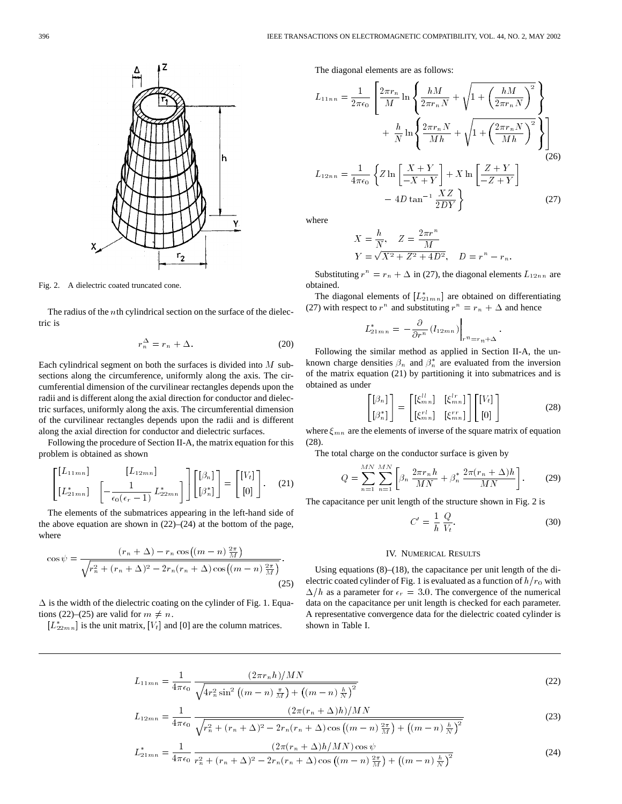

Fig. 2. A dielectric coated truncated cone.

The radius of the  $n$ th cylindrical section on the surface of the dielectric is

$$
r_n^{\Delta} = r_n + \Delta. \tag{20}
$$

Each cylindrical segment on both the surfaces is divided into  $M$  subsections along the circumference, uniformly along the axis. The circumferential dimension of the curvilinear rectangles depends upon the radii and is different along the axial direction for conductor and dielectric surfaces, uniformly along the axis. The circumferential dimension of the curvilinear rectangles depends upon the radii and is different along the axial direction for conductor and dielectric surfaces.

Following the procedure of Section II-A, the matrix equation for this

problem is obtained as shown  
\n
$$
\begin{bmatrix}\n[L_{11mn}] & [L_{12mn}]\n\end{bmatrix}\n\begin{bmatrix}\nL_{12mn}\n\end{bmatrix} - \frac{1}{\epsilon_0(\epsilon_r - 1)} L_{22mn}^*\n\end{bmatrix}\n\begin{bmatrix}\n[\beta_n]\n\end{bmatrix}\n=\n\begin{bmatrix}\n[V_t]\n\end{bmatrix}.
$$
\n(21)

The elements of the submatrices appearing in the left-hand side of the above equation are shown in (22)–(24) at the bottom of the page, where The elements of the submatrices appearing in the level to above equation are shown in (22)–(24) at the bottonere<br>
cos  $\psi = \frac{(r_n + \Delta) - r_n \cos((m - n) \frac{2\pi}{M})}{\Delta}$ 

here  
\n
$$
\cos \psi = \frac{(r_n + \Delta) - r_n \cos\left((m - n)\frac{2\pi}{M}\right)}{\sqrt{r_n^2 + (r_n + \Delta)^2 - 2r_n(r_n + \Delta)\cos\left((m - n)\frac{2\pi}{M}\right)}}.
$$
\n(25)

 $\Delta$  is the width of the dielectric coating on the cylinder of Fig. 1. Equations (22)–(25) are valid for  $m \neq n$ .

 $[L_{22mn}^*]$  is the unit matrix,  $[V_t]$  and [0] are the column matrices.

The diagonal elements are as follows:

$$
L_{11nn} = \frac{1}{2\pi\epsilon_0} \left[ \frac{2\pi r_n}{M} \ln \left\{ \frac{hM}{2\pi r_n N} + \sqrt{1 + \left(\frac{hM}{2\pi r_n N}\right)^2} \right\} + \frac{h}{N} \ln \left\{ \frac{2\pi r_n N}{Mh} + \sqrt{1 + \left(\frac{2\pi r_n N}{Mh}\right)^2} \right\} \right]
$$
  

$$
L_{12nn} = \frac{1}{4\pi\epsilon_0} \left\{ Z \ln \left[ \frac{X+Y}{-X+Y} \right] + X \ln \left[ \frac{Z+Y}{-Z+Y} \right] - 4D \tan^{-1} \frac{XZ}{2DY} \right\}
$$
 (27)

where

$$
\begin{aligned} X&=\frac{h}{N},\quad Z=\frac{2\,\pi\,r^n}{M}\\ Y&=\sqrt{X^2+Z^2+4D^2},\quad D=r^n-r_n. \end{aligned}
$$

Substituting  $r^n = r_n + \Delta$  in (27), the diagonal elements  $L_{12nn}$  are obtained.

The diagonal elements of  $[L^*_{21mn}]$  are obtained on differentiating (27) with respect to  $r^n$  and substituting  $r^n = r_n + \Delta$  and hence

$$
L_{21mn}^{*} = -\frac{\partial}{\partial r^{n}} (l_{12mn})\Big|_{r^{n} = r_{n} + \Delta}
$$

Following the similar method as applied in Section II-A, the unknown charge densities  $\beta_n$  and  $\beta_n^*$  are evaluated from the inversion of the matrix equation (21) by partitioning it into submatrices and is obtained as under

$$
\begin{bmatrix}\n[\beta_n] \\
[\beta_n^*]\n\end{bmatrix} = \begin{bmatrix}\n[\xi_{mn}^{ll}] & [\xi_{mn}^{lr}]\n\end{bmatrix}\n\begin{bmatrix}\n[V_t] \\
[0]\n\end{bmatrix}
$$
\n(28)

where  $\xi_{mn}$  are the elements of inverse of the square matrix of equation (28).

The total charge on the conductor surface is given by

$$
Q = \sum_{n=1}^{MN} \sum_{n=1}^{MN} \left[ \beta_n \frac{2\pi r_n h}{MN} + \beta_n^* \frac{2\pi (r_n + \Delta) h}{MN} \right].
$$
 (29)

The capacitance per unit length of the structure shown in Fig. 2 is

$$
C' = \frac{1}{h} \frac{Q}{V_t}.
$$
\n(30)

:

### IV. NUMERICAL RESULTS

Using equations (8)–(18), the capacitance per unit length of the dielectric coated cylinder of Fig. 1 is evaluated as a function of  $h/r_0$  with  $\Delta/h$  as a parameter for  $\epsilon_r = 3.0$ . The convergence of the numerical data on the capacitance per unit length is checked for each parameter. A representative convergence data for the dielectric coated cylinder is shown in Table I.

$$
L_{11mn} = \frac{1}{4\pi\epsilon_0} \frac{(2\pi r_n h)/MN}{\sqrt{4r_n^2 \sin^2((m-n)\frac{\pi}{M}) + ((m-n)\frac{h}{N})^2}}
$$
(22)

$$
L_{12mn} = \frac{1}{4\pi\epsilon_0} \frac{(2\pi(r_n + \Delta)h)/MN}{\sqrt{r_n^2 + (r_n + \Delta)^2 - 2r_n(r_n + \Delta)\cos\left((m - n)\frac{2\pi}{M}\right) + \left((m - n)\frac{h}{N}\right)^2}}
$$
(23)

$$
L_{21mn}^{*} = \frac{1}{4\pi\epsilon_0} \frac{(2\pi(r_n + \Delta)h/MN)\cos\psi}{r_n^2 + (r_n + \Delta)^2 - 2r_n(r_n + \Delta)\cos\left((m - n)\frac{2\pi}{M}\right) + \left((m - n)\frac{h}{N}\right)^2}
$$
(24)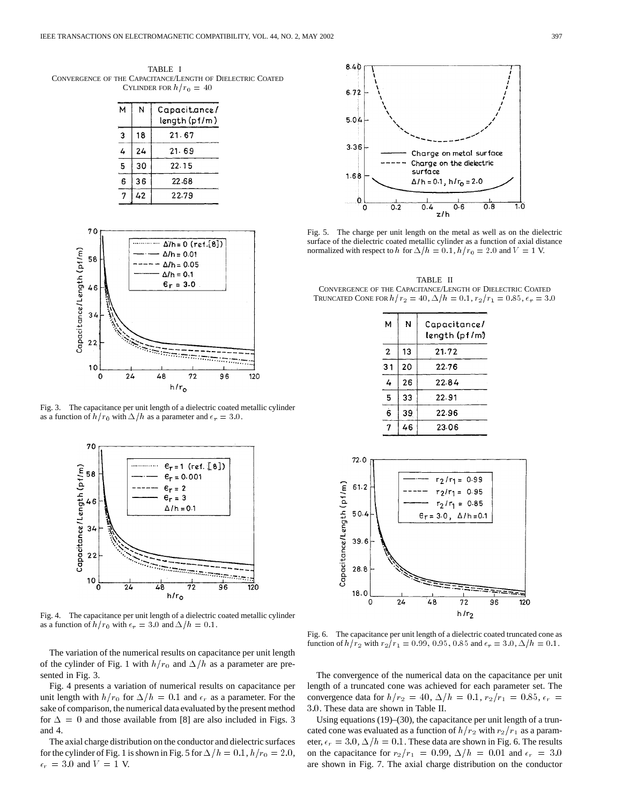TABLE I CONVERGENCE OF THE CAPACITANCE/LENGTH OF DIELECTRIC COATED CYLINDER FOR  $h/r_0 = 40$ 

| м | N  | Capacit.ance/<br>length (pf/m) |
|---|----|--------------------------------|
| 3 | 18 | 21.67                          |
| 4 | 24 | 21.69                          |
| 5 | 30 | 22.15                          |
| 6 | 36 | 22.68                          |
|   | 42 | 22.79                          |



Fig. 3. The capacitance per unit length of a dielectric coated metallic cylinder as a function of  $h/r_0$  with  $\Delta/h$  as a parameter and  $\epsilon_r = 3.0$ .



Fig. 4. The capacitance per unit length of a dielectric coated metallic cylinder as a function of  $h/r_0$  with  $\epsilon_r = 3.0$  and  $\Delta/h = 0.1$ .

The variation of the numerical results on capacitance per unit length of the cylinder of Fig. 1 with  $h/r_0$  and  $\Delta/h$  as a parameter are presented in Fig. 3.

Fig. 4 presents a variation of numerical results on capacitance per unit length with  $h/r_0$  for  $\Delta/h = 0.1$  and  $\epsilon_r$  as a parameter. For the sake of comparison, the numerical data evaluated by the present method for  $\Delta = 0$  and those available from [8] are also included in Figs. 3 and 4.

The axial charge distribution on the conductor and dielectric surfaces for the cylinder of Fig. 1 is shown in Fig. 5 for  $\Delta/h = 0.1, h/r_0 = 2.0$ ,  $\epsilon_r = 3.0$  and  $V = 1$  V.



Fig. 5. The charge per unit length on the metal as well as on the dielectric surface of the dielectric coated metallic cylinder as a function of axial distance normalized with respect to h for  $\Delta/h = 0.1$ ,  $h/r_0 = 2.0$  and  $V = 1$  V.

TABLE II CONVERGENCE OF THE CAPACITANCE/LENGTH OF DIELECTRIC COATED TRUNCATED CONE FOR  $h/r_2 = 40, \Delta/h = 0.1, r_2/r_1 = 0.85, \epsilon_r = 3.0$ 

| м  | N  | Capacitance <i>l</i><br>length (pf/m) |
|----|----|---------------------------------------|
| 2  | 13 | 21.72                                 |
| 31 | 20 | 22.76                                 |
| 4  | 26 | 22.84                                 |
| 5  | 33 | 22.91                                 |
| Ġ  | 39 | 22.96                                 |
|    | 46 | 23.06                                 |



Fig. 6. The capacitance per unit length of a dielectric coated truncated cone as function of  $h/r_2$  with  $r_2/r_1 = 0.99, 0.95, 0.85$  and  $\epsilon_r = 3.0, \Delta/h = 0.1$ .

The convergence of the numerical data on the capacitance per unit length of a truncated cone was achieved for each parameter set. The convergence data for  $h/r_2 = 40, \Delta/h = 0.1, r_2/r_1 = 0.85, \epsilon_r =$ 3:0. These data are shown in Table II.

Using equations (19)–(30), the capacitance per unit length of a truncated cone was evaluated as a function of  $h/r_2$  with  $r_2/r_1$  as a parameter,  $\epsilon_r = 3.0$ ,  $\Delta/h = 0.1$ . These data are shown in Fig. 6. The results on the capacitance for  $r_2/r_1 = 0.99$ ,  $\Delta/h = 0.01$  and  $\epsilon_r = 3.0$ are shown in Fig. 7. The axial charge distribution on the conductor